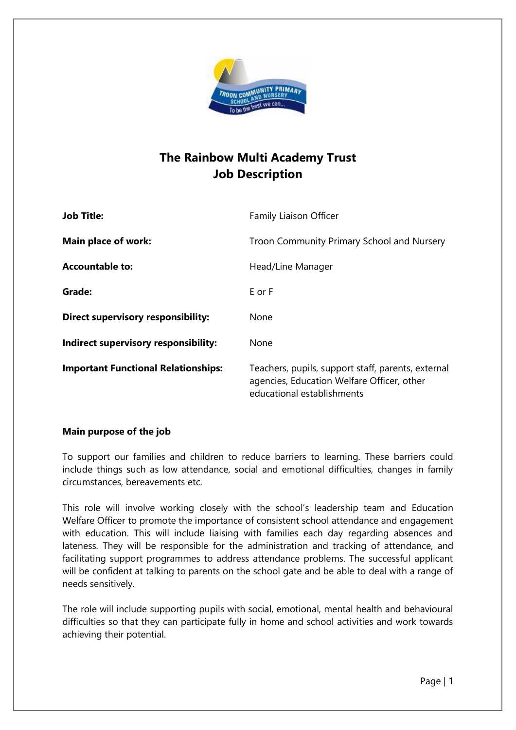

## **The Rainbow Multi Academy Trust Job Description**

| <b>Job Title:</b>                          | Family Liaison Officer                                                                                                         |
|--------------------------------------------|--------------------------------------------------------------------------------------------------------------------------------|
| Main place of work:                        | Troon Community Primary School and Nursery                                                                                     |
| <b>Accountable to:</b>                     | Head/Line Manager                                                                                                              |
| Grade:                                     | E or F                                                                                                                         |
| Direct supervisory responsibility:         | None                                                                                                                           |
| Indirect supervisory responsibility:       | None                                                                                                                           |
| <b>Important Functional Relationships:</b> | Teachers, pupils, support staff, parents, external<br>agencies, Education Welfare Officer, other<br>educational establishments |

## **Main purpose of the job**

To support our families and children to reduce barriers to learning. These barriers could include things such as low attendance, social and emotional difficulties, changes in family circumstances, bereavements etc.

This role will involve working closely with the school's leadership team and Education Welfare Officer to promote the importance of consistent school attendance and engagement with education. This will include liaising with families each day regarding absences and lateness. They will be responsible for the administration and tracking of attendance, and facilitating support programmes to address attendance problems. The successful applicant will be confident at talking to parents on the school gate and be able to deal with a range of needs sensitively.

The role will include supporting pupils with social, emotional, mental health and behavioural difficulties so that they can participate fully in home and school activities and work towards achieving their potential.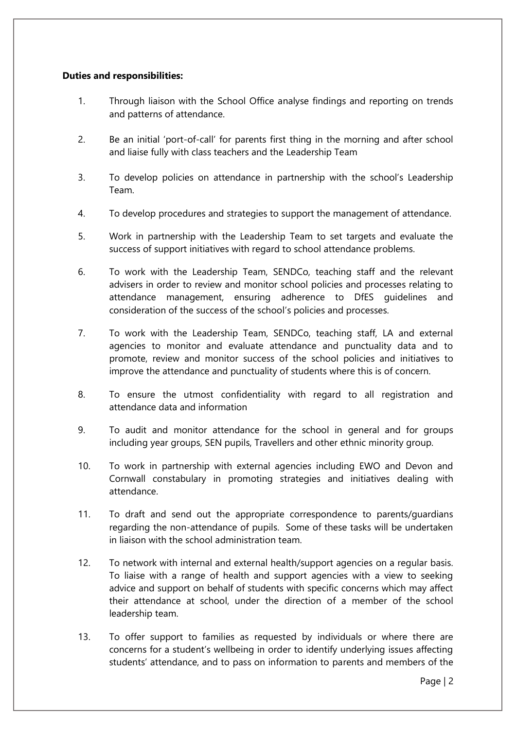## **Duties and responsibilities:**

- 1. Through liaison with the School Office analyse findings and reporting on trends and patterns of attendance.
- 2. Be an initial 'port-of-call' for parents first thing in the morning and after school and liaise fully with class teachers and the Leadership Team
- 3. To develop policies on attendance in partnership with the school's Leadership Team.
- 4. To develop procedures and strategies to support the management of attendance.
- 5. Work in partnership with the Leadership Team to set targets and evaluate the success of support initiatives with regard to school attendance problems.
- 6. To work with the Leadership Team, SENDCo, teaching staff and the relevant advisers in order to review and monitor school policies and processes relating to attendance management, ensuring adherence to DfES guidelines and consideration of the success of the school's policies and processes.
- 7. To work with the Leadership Team, SENDCo, teaching staff, LA and external agencies to monitor and evaluate attendance and punctuality data and to promote, review and monitor success of the school policies and initiatives to improve the attendance and punctuality of students where this is of concern.
- 8. To ensure the utmost confidentiality with regard to all registration and attendance data and information
- 9. To audit and monitor attendance for the school in general and for groups including year groups, SEN pupils, Travellers and other ethnic minority group.
- 10. To work in partnership with external agencies including EWO and Devon and Cornwall constabulary in promoting strategies and initiatives dealing with attendance.
- 11. To draft and send out the appropriate correspondence to parents/guardians regarding the non-attendance of pupils. Some of these tasks will be undertaken in liaison with the school administration team.
- 12. To network with internal and external health/support agencies on a regular basis. To liaise with a range of health and support agencies with a view to seeking advice and support on behalf of students with specific concerns which may affect their attendance at school, under the direction of a member of the school leadership team.
- 13. To offer support to families as requested by individuals or where there are concerns for a student's wellbeing in order to identify underlying issues affecting students' attendance, and to pass on information to parents and members of the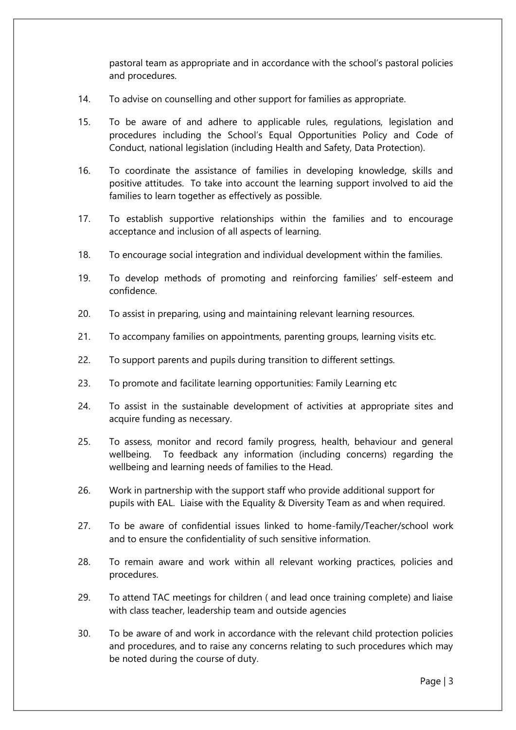pastoral team as appropriate and in accordance with the school's pastoral policies and procedures.

- 14. To advise on counselling and other support for families as appropriate.
- 15. To be aware of and adhere to applicable rules, regulations, legislation and procedures including the School's Equal Opportunities Policy and Code of Conduct, national legislation (including Health and Safety, Data Protection).
- 16. To coordinate the assistance of families in developing knowledge, skills and positive attitudes. To take into account the learning support involved to aid the families to learn together as effectively as possible.
- 17. To establish supportive relationships within the families and to encourage acceptance and inclusion of all aspects of learning.
- 18. To encourage social integration and individual development within the families.
- 19. To develop methods of promoting and reinforcing families' self-esteem and confidence.
- 20. To assist in preparing, using and maintaining relevant learning resources.
- 21. To accompany families on appointments, parenting groups, learning visits etc.
- 22. To support parents and pupils during transition to different settings.
- 23. To promote and facilitate learning opportunities: Family Learning etc
- 24. To assist in the sustainable development of activities at appropriate sites and acquire funding as necessary.
- 25. To assess, monitor and record family progress, health, behaviour and general wellbeing. To feedback any information (including concerns) regarding the wellbeing and learning needs of families to the Head.
- 26. Work in partnership with the support staff who provide additional support for pupils with EAL. Liaise with the Equality & Diversity Team as and when required.
- 27. To be aware of confidential issues linked to home-family/Teacher/school work and to ensure the confidentiality of such sensitive information.
- 28. To remain aware and work within all relevant working practices, policies and procedures.
- 29. To attend TAC meetings for children ( and lead once training complete) and liaise with class teacher, leadership team and outside agencies
- 30. To be aware of and work in accordance with the relevant child protection policies and procedures, and to raise any concerns relating to such procedures which may be noted during the course of duty.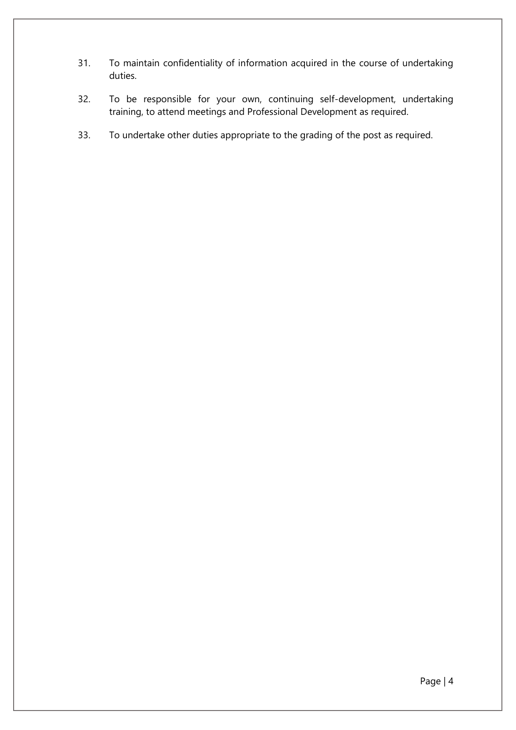- 31. To maintain confidentiality of information acquired in the course of undertaking duties.
- 32. To be responsible for your own, continuing self-development, undertaking training, to attend meetings and Professional Development as required.
- 33. To undertake other duties appropriate to the grading of the post as required.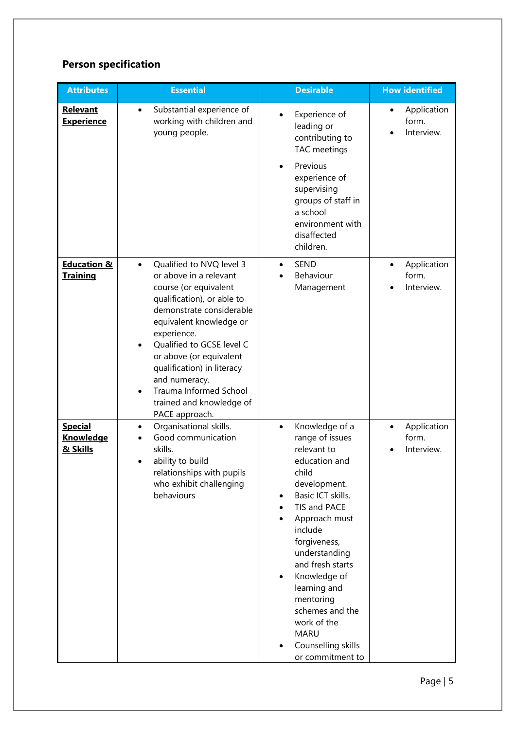## **Person specification**

| <b>Attributes</b>                              | <b>Essential</b>                                                                                                                                                                                                                                                                                                                                                                         | <b>Desirable</b>                                                                                                                                                                                                                                                                                                                                                                        | <b>How identified</b>                           |
|------------------------------------------------|------------------------------------------------------------------------------------------------------------------------------------------------------------------------------------------------------------------------------------------------------------------------------------------------------------------------------------------------------------------------------------------|-----------------------------------------------------------------------------------------------------------------------------------------------------------------------------------------------------------------------------------------------------------------------------------------------------------------------------------------------------------------------------------------|-------------------------------------------------|
| <b>Relevant</b><br><b>Experience</b>           | Substantial experience of<br>$\bullet$<br>working with children and<br>young people.                                                                                                                                                                                                                                                                                                     | Experience of<br>$\bullet$<br>leading or<br>contributing to<br>TAC meetings<br>Previous<br>$\bullet$<br>experience of<br>supervising<br>groups of staff in<br>a school<br>environment with<br>disaffected<br>children.                                                                                                                                                                  | Application<br>form.<br>Interview.              |
| <b>Education &amp;</b><br><b>Training</b>      | Qualified to NVQ level 3<br>$\bullet$<br>or above in a relevant<br>course (or equivalent<br>qualification), or able to<br>demonstrate considerable<br>equivalent knowledge or<br>experience.<br>Qualified to GCSE level C<br>or above (or equivalent<br>qualification) in literacy<br>and numeracy.<br>Trauma Informed School<br>$\bullet$<br>trained and knowledge of<br>PACE approach. | <b>SEND</b><br>$\bullet$<br>Behaviour<br>Management                                                                                                                                                                                                                                                                                                                                     | Application<br>$\bullet$<br>form.<br>Interview. |
| <b>Special</b><br><b>Knowledge</b><br>& Skills | Organisational skills.<br>$\bullet$<br>Good communication<br>skills.<br>ability to build<br>relationships with pupils<br>who exhibit challenging<br>behaviours                                                                                                                                                                                                                           | Knowledge of a<br>$\bullet$<br>range of issues<br>relevant to<br>education and<br>child<br>development.<br>Basic ICT skills.<br>٠<br>TIS and PACE<br>Approach must<br>include<br>forgiveness,<br>understanding<br>and fresh starts<br>Knowledge of<br>$\bullet$<br>learning and<br>mentoring<br>schemes and the<br>work of the<br><b>MARU</b><br>Counselling skills<br>or commitment to | Application<br>$\bullet$<br>form.<br>Interview. |